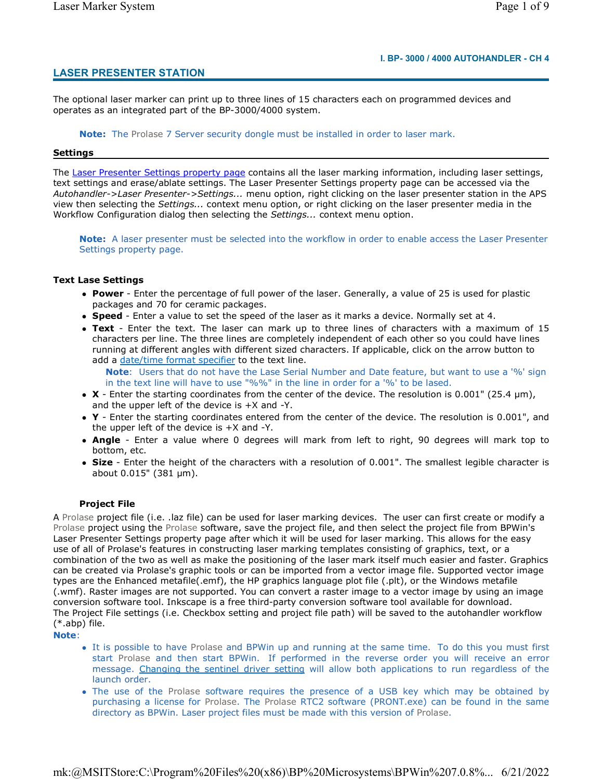# **LASER PRESENTER STATION**

The optional laser marker can print up to three lines of 15 characters each on programmed devices and operates as an integrated part of the BP-3000/4000 system.

**Note:** The Prolase 7 Server security dongle must be installed in order to laser mark.

#### **Settings**

The Laser Presenter Settings property page contains all the laser marking information, including laser settings, text settings and erase/ablate settings. The Laser Presenter Settings property page can be accessed via the *Autohandler->Laser Presenter->Settings...* menu option, right clicking on the laser presenter station in the APS view then selecting the *Settings...* context menu option, or right clicking on the laser presenter media in the Workflow Configuration dialog then selecting the *Settings...* context menu option.

**Note:** A laser presenter must be selected into the workflow in order to enable access the Laser Presenter Settings property page.

#### **Text Lase Settings**

- **Power** Enter the percentage of full power of the laser. Generally, a value of 25 is used for plastic packages and 70 for ceramic packages.
- **Speed** Enter a value to set the speed of the laser as it marks a device. Normally set at 4.
- **Text** Enter the text. The laser can mark up to three lines of characters with a maximum of 15 characters per line. The three lines are completely independent of each other so you could have lines running at different angles with different sized characters. If applicable, click on the arrow button to add a date/time format specifier to the text line.

**Note**: Users that do not have the Lase Serial Number and Date feature, but want to use a '%' sign in the text line will have to use "%%" in the line in order for a '%' to be lased.

- **X** Enter the starting coordinates from the center of the device. The resolution is 0.001" (25.4 µm), and the upper left of the device is +X and -Y.
- **Y** Enter the starting coordinates entered from the center of the device. The resolution is 0.001", and the upper left of the device is +X and -Y.
- **Angle** Enter a value where 0 degrees will mark from left to right, 90 degrees will mark top to bottom, etc.
- **Size** Enter the height of the characters with a resolution of 0.001". The smallest legible character is about 0.015" (381 µm).

## **Project File**

A Prolase project file (i.e. .laz file) can be used for laser marking devices. The user can first create or modify a Prolase project using the Prolase software, save the project file, and then select the project file from BPWin's Laser Presenter Settings property page after which it will be used for laser marking. This allows for the easy use of all of Prolase's features in constructing laser marking templates consisting of graphics, text, or a combination of the two as well as make the positioning of the laser mark itself much easier and faster. Graphics can be created via Prolase's graphic tools or can be imported from a vector image file. Supported vector image types are the Enhanced metafile(.emf), the HP graphics language plot file (.plt), or the Windows metafile (.wmf). Raster images are not supported. You can convert a raster image to a vector image by using an image conversion software tool. Inkscape is a free third-party conversion software tool available for download. The Project File settings (i.e. Checkbox setting and project file path) will be saved to the autohandler workflow (\*.abp) file.

**Note**:

- It is possible to have Prolase and BPWin up and running at the same time. To do this you must first start Prolase and then start BPWin. If performed in the reverse order you will receive an error message. Changing the sentinel driver setting will allow both applications to run regardless of the launch order.
- The use of the Prolase software requires the presence of a USB key which may be obtained by purchasing a license for Prolase. The Prolase RTC2 software (PRONT.exe) can be found in the same directory as BPWin. Laser project files must be made with this version of Prolase.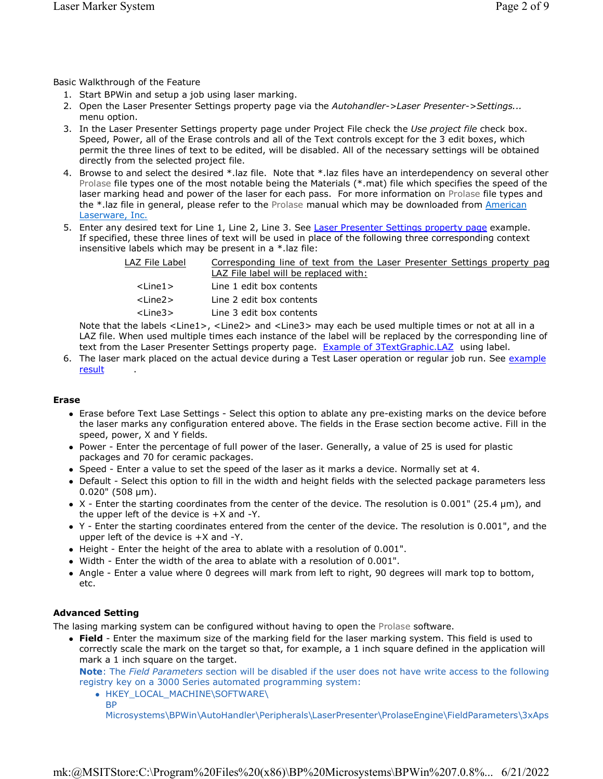Basic Walkthrough of the Feature

- 1. Start BPWin and setup a job using laser marking.
- 2. Open the Laser Presenter Settings property page via the *Autohandler->Laser Presenter->Settings...* menu option.
- 3. In the Laser Presenter Settings property page under Project File check the *Use project file* check box. Speed, Power, all of the Erase controls and all of the Text controls except for the 3 edit boxes, which permit the three lines of text to be edited, will be disabled. All of the necessary settings will be obtained directly from the selected project file.
- 4. Browse to and select the desired \*.laz file. Note that \*.laz files have an interdependency on several other Prolase file types one of the most notable being the Materials (\*.mat) file which specifies the speed of the laser marking head and power of the laser for each pass. For more information on Prolase file types and the \*.laz file in general, please refer to the Prolase manual which may be downloaded from American Laserware, Inc.
- 5. Enter any desired text for Line 1, Line 2, Line 3. See Laser Presenter Settings property page example. If specified, these three lines of text will be used in place of the following three corresponding context insensitive labels which may be present in a \*.laz file:

| LAZ File Label | Corresponding line of text from the Laser Presenter Settings property pag<br>LAZ File label will be replaced with: |
|----------------|--------------------------------------------------------------------------------------------------------------------|
| $<$ Line1 $>$  | Line 1 edit box contents                                                                                           |
| $<$ Line2 $>$  | Line 2 edit box contents                                                                                           |
| $<$ Line $3>$  | Line 3 edit box contents                                                                                           |

Note that the labels <Line1>, <Line2> and <Line3> may each be used multiple times or not at all in a LAZ file. When used multiple times each instance of the label will be replaced by the corresponding line of text from the Laser Presenter Settings property page. Example of 3TextGraphic.LAZ using label.

6. The laser mark placed on the actual device during a Test Laser operation or regular job run. See example **result** 

## **Erase**

- Erase before Text Lase Settings Select this option to ablate any pre-existing marks on the device before the laser marks any configuration entered above. The fields in the Erase section become active. Fill in the speed, power, X and Y fields.
- Power Enter the percentage of full power of the laser. Generally, a value of 25 is used for plastic packages and 70 for ceramic packages.
- Speed Enter a value to set the speed of the laser as it marks a device. Normally set at 4.
- Default Select this option to fill in the width and height fields with the selected package parameters less 0.020" (508 µm).
- $\bullet$  X Enter the starting coordinates from the center of the device. The resolution is 0.001" (25.4 µm), and the upper left of the device is  $+X$  and  $-Y$ .
- Y Enter the starting coordinates entered from the center of the device. The resolution is 0.001", and the upper left of the device is +X and -Y.
- Height Enter the height of the area to ablate with a resolution of 0.001".
- Width Enter the width of the area to ablate with a resolution of 0.001".
- Angle Enter a value where 0 degrees will mark from left to right, 90 degrees will mark top to bottom, etc.

## **Advanced Setting**

The lasing marking system can be configured without having to open the Prolase software.

 **Field** - Enter the maximum size of the marking field for the laser marking system. This field is used to correctly scale the mark on the target so that, for example, a 1 inch square defined in the application will mark a 1 inch square on the target.

**Note**: The *Field Parameters* section will be disabled if the user does not have write access to the following registry key on a 3000 Series automated programming system:

- . HKEY LOCAL MACHINE\SOFTWARE\
	- BP

Microsystems\BPWin\AutoHandler\Peripherals\LaserPresenter\ProlaseEngine\FieldParameters\3xAps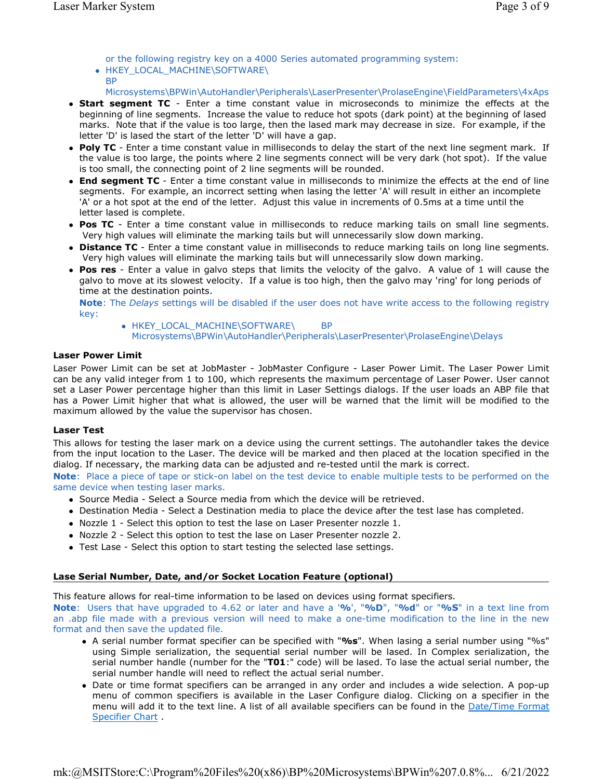or the following registry key on a 4000 Series automated programming system: HKEY\_LOCAL\_MACHINE\SOFTWARE\

**BP** 

Microsystems\BPWin\AutoHandler\Peripherals\LaserPresenter\ProlaseEngine\FieldParameters\4xAps

- **Start segment TC** Enter a time constant value in microseconds to minimize the effects at the beginning of line segments. Increase the value to reduce hot spots (dark point) at the beginning of lased marks. Note that if the value is too large, then the lased mark may decrease in size. For example, if the letter 'D' is lased the start of the letter 'D' will have a gap.
- **Poly TC** Enter a time constant value in milliseconds to delay the start of the next line segment mark. If the value is too large, the points where 2 line segments connect will be very dark (hot spot). If the value is too small, the connecting point of 2 line segments will be rounded.
- **End segment TC** Enter a time constant value in milliseconds to minimize the effects at the end of line segments. For example, an incorrect setting when lasing the letter 'A' will result in either an incomplete 'A' or a hot spot at the end of the letter. Adjust this value in increments of 0.5ms at a time until the letter lased is complete.
- **Pos TC** Enter a time constant value in milliseconds to reduce marking tails on small line segments. Very high values will eliminate the marking tails but will unnecessarily slow down marking.
- **Distance TC** Enter a time constant value in milliseconds to reduce marking tails on long line segments. Very high values will eliminate the marking tails but will unnecessarily slow down marking.
- **Pos res** Enter a value in galvo steps that limits the velocity of the galvo. A value of 1 will cause the galvo to move at its slowest velocity. If a value is too high, then the galvo may 'ring' for long periods of time at the destination points.

**Note**: The *Delays* settings will be disabled if the user does not have write access to the following registry key:

• HKEY LOCAL MACHINE\SOFTWARE\ BP Microsystems\BPWin\AutoHandler\Peripherals\LaserPresenter\ProlaseEngine\Delays

### **Laser Power Limit**

Laser Power Limit can be set at JobMaster - JobMaster Configure - Laser Power Limit. The Laser Power Limit can be any valid integer from 1 to 100, which represents the maximum percentage of Laser Power. User cannot set a Laser Power percentage higher than this limit in Laser Settings dialogs. If the user loads an ABP file that has a Power Limit higher that what is allowed, the user will be warned that the limit will be modified to the maximum allowed by the value the supervisor has chosen.

## **Laser Test**

This allows for testing the laser mark on a device using the current settings. The autohandler takes the device from the input location to the Laser. The device will be marked and then placed at the location specified in the dialog. If necessary, the marking data can be adjusted and re-tested until the mark is correct.

**Note**: Place a piece of tape or stick-on label on the test device to enable multiple tests to be performed on the same device when testing laser marks.

- Source Media Select a Source media from which the device will be retrieved.
- Destination Media Select a Destination media to place the device after the test lase has completed.
- Nozzle 1 Select this option to test the lase on Laser Presenter nozzle 1.
- Nozzle 2 Select this option to test the lase on Laser Presenter nozzle 2.
- Test Lase Select this option to start testing the selected lase settings.

## **Lase Serial Number, Date, and/or Socket Location Feature (optional)**

This feature allows for real-time information to be lased on devices using format specifiers.

**Note**: Users that have upgraded to 4.62 or later and have a '**%**', "**%D**", "**%d**" or "**%S**" in a text line from an .abp file made with a previous version will need to make a one-time modification to the line in the new format and then save the updated file.

- A serial number format specifier can be specified with "**%s**". When lasing a serial number using "%s" using Simple serialization, the sequential serial number will be lased. In Complex serialization, the serial number handle (number for the "**T01**:" code) will be lased. To lase the actual serial number, the serial number handle will need to reflect the actual serial number.
- Date or time format specifiers can be arranged in any order and includes a wide selection. A pop-up menu of common specifiers is available in the Laser Configure dialog. Clicking on a specifier in the menu will add it to the text line. A list of all available specifiers can be found in the Date/Time Format Specifier Chart.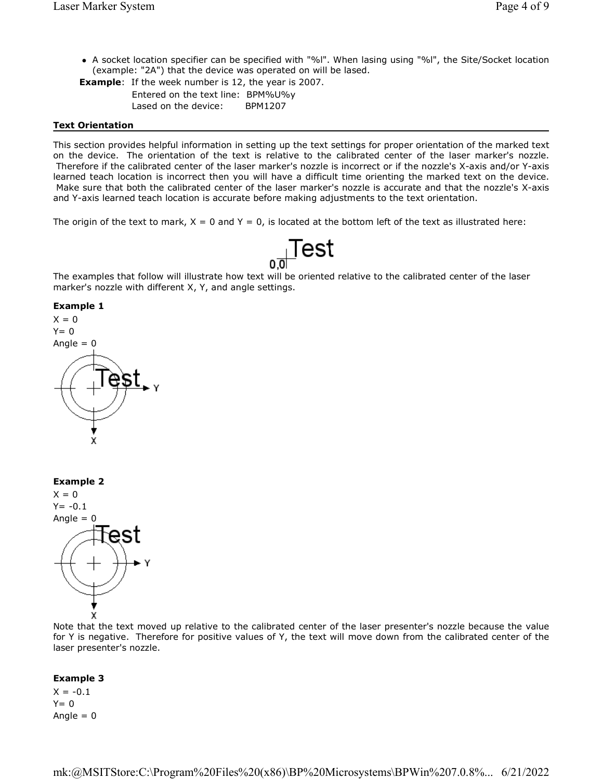- A socket location specifier can be specified with "%l". When lasing using "%l", the Site/Socket location (example: "2A") that the device was operated on will be lased.
- **Example**: If the week number is 12, the year is 2007. Entered on the text line: BPM%U%y Lased on the device: BPM1207

#### **Text Orientation**

This section provides helpful information in setting up the text settings for proper orientation of the marked text on the device. The orientation of the text is relative to the calibrated center of the laser marker's nozzle. Therefore if the calibrated center of the laser marker's nozzle is incorrect or if the nozzle's X-axis and/or Y-axis learned teach location is incorrect then you will have a difficult time orienting the marked text on the device. Make sure that both the calibrated center of the laser marker's nozzle is accurate and that the nozzle's X-axis and Y-axis learned teach location is accurate before making adjustments to the text orientation.

The origin of the text to mark,  $X = 0$  and  $Y = 0$ , is located at the bottom left of the text as illustrated here:



The examples that follow will illustrate how text will be oriented relative to the calibrated center of the laser marker's nozzle with different X, Y, and angle settings.

#### **Example 1**



**Example 2**



Note that the text moved up relative to the calibrated center of the laser presenter's nozzle because the value for Y is negative. Therefore for positive values of Y, the text will move down from the calibrated center of the laser presenter's nozzle.

#### **Example 3**

 $X = -0.1$  $Y= 0$ Angle  $= 0$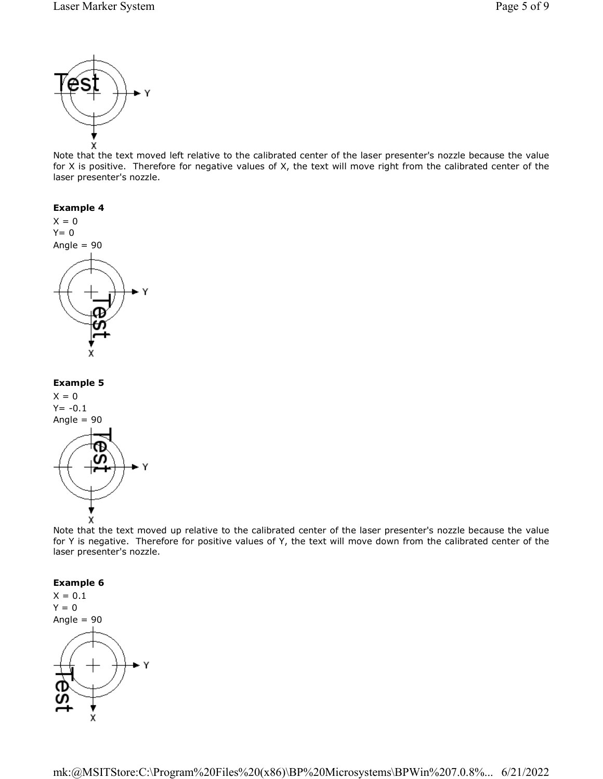

Note that the text moved left relative to the calibrated center of the laser presenter's nozzle because the value for X is positive. Therefore for negative values of X, the text will move right from the calibrated center of the laser presenter's nozzle.



Note that the text moved up relative to the calibrated center of the laser presenter's nozzle because the value for Y is negative. Therefore for positive values of Y, the text will move down from the calibrated center of the laser presenter's nozzle.

#### **Example 6**

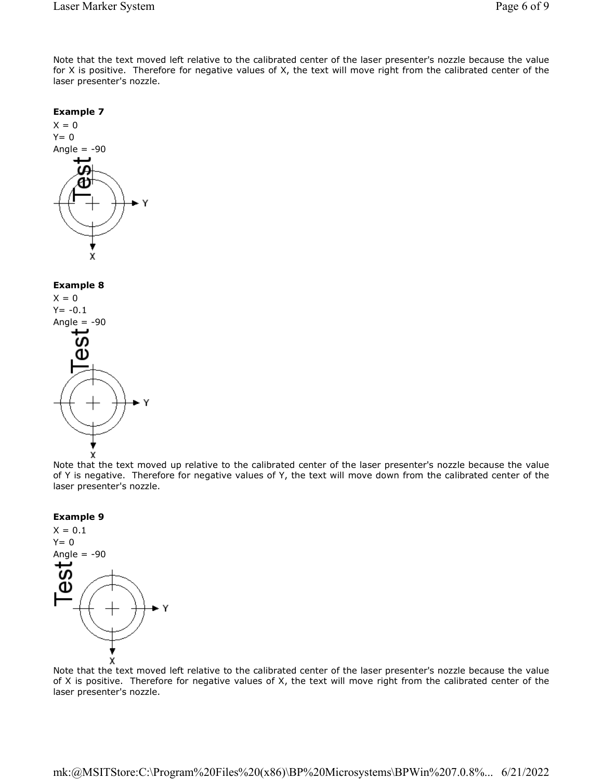Note that the text moved left relative to the calibrated center of the laser presenter's nozzle because the value for X is positive. Therefore for negative values of X, the text will move right from the calibrated center of the laser presenter's nozzle.



Note that the text moved up relative to the calibrated center of the laser presenter's nozzle because the value of Y is negative. Therefore for negative values of Y, the text will move down from the calibrated center of the laser presenter's nozzle.





Note that the text moved left relative to the calibrated center of the laser presenter's nozzle because the value of X is positive. Therefore for negative values of X, the text will move right from the calibrated center of the laser presenter's nozzle.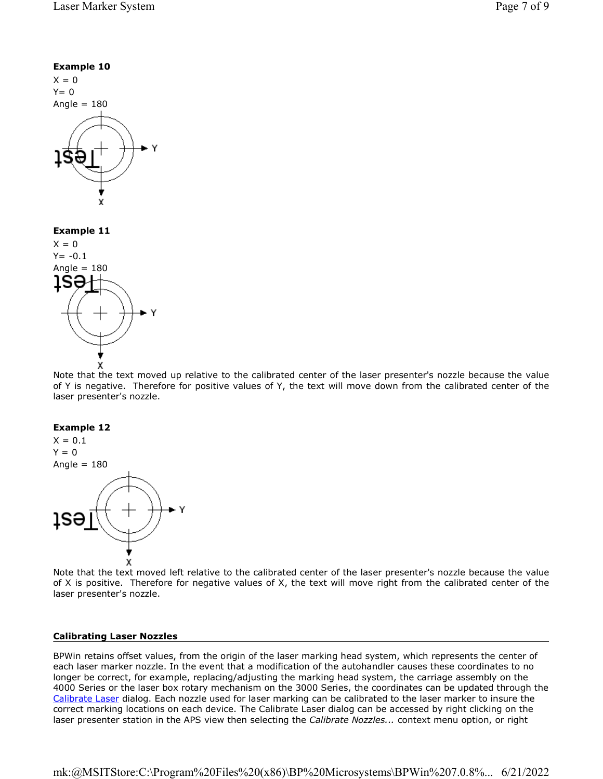



#### **Example 12**



Note that the text moved left relative to the calibrated center of the laser presenter's nozzle because the value of X is positive. Therefore for negative values of X, the text will move right from the calibrated center of the laser presenter's nozzle.

#### **Calibrating Laser Nozzles**

BPWin retains offset values, from the origin of the laser marking head system, which represents the center of each laser marker nozzle. In the event that a modification of the autohandler causes these coordinates to no longer be correct, for example, replacing/adjusting the marking head system, the carriage assembly on the 4000 Series or the laser box rotary mechanism on the 3000 Series, the coordinates can be updated through the Calibrate Laser dialog. Each nozzle used for laser marking can be calibrated to the laser marker to insure the correct marking locations on each device. The Calibrate Laser dialog can be accessed by right clicking on the laser presenter station in the APS view then selecting the *Calibrate Nozzles...* context menu option, or right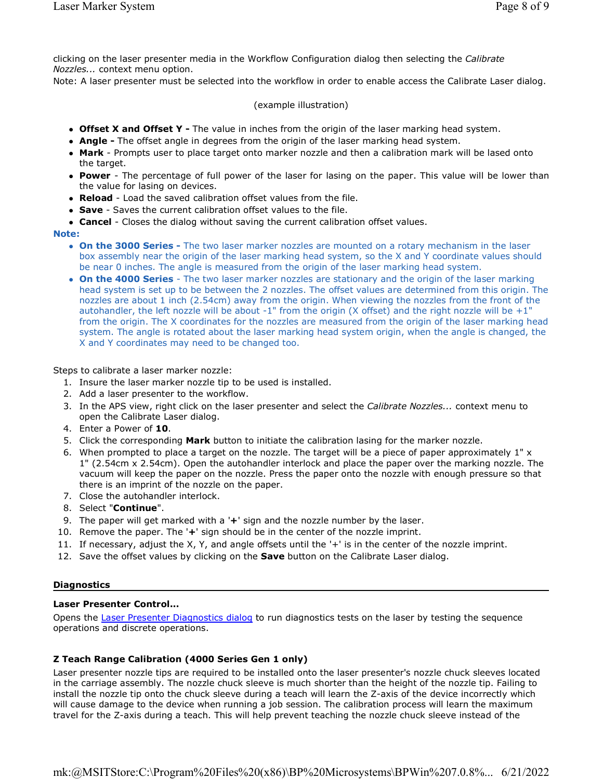clicking on the laser presenter media in the Workflow Configuration dialog then selecting the *Calibrate Nozzles...* context menu option.

Note: A laser presenter must be selected into the workflow in order to enable access the Calibrate Laser dialog.

### (example illustration)

- **Offset X and Offset Y -** The value in inches from the origin of the laser marking head system.
- **Angle -** The offset angle in degrees from the origin of the laser marking head system.
- **Mark** Prompts user to place target onto marker nozzle and then a calibration mark will be lased onto the target.
- **Power** The percentage of full power of the laser for lasing on the paper. This value will be lower than the value for lasing on devices.
- **Reload** Load the saved calibration offset values from the file.
- **Save** Saves the current calibration offset values to the file.
- **Cancel** Closes the dialog without saving the current calibration offset values.

#### **Note:**

- **On the 3000 Series -** The two laser marker nozzles are mounted on a rotary mechanism in the laser box assembly near the origin of the laser marking head system, so the X and Y coordinate values should be near 0 inches. The angle is measured from the origin of the laser marking head system.
- **On the 4000 Series** The two laser marker nozzles are stationary and the origin of the laser marking head system is set up to be between the 2 nozzles. The offset values are determined from this origin. The nozzles are about 1 inch (2.54cm) away from the origin. When viewing the nozzles from the front of the autohandler, the left nozzle will be about -1" from the origin (X offset) and the right nozzle will be  $+1$ " from the origin. The X coordinates for the nozzles are measured from the origin of the laser marking head system. The angle is rotated about the laser marking head system origin, when the angle is changed, the X and Y coordinates may need to be changed too.

#### Steps to calibrate a laser marker nozzle:

- 1. Insure the laser marker nozzle tip to be used is installed.
- 2. Add a laser presenter to the workflow.
- 3. In the APS view, right click on the laser presenter and select the *Calibrate Nozzles...* context menu to open the Calibrate Laser dialog.
- 4. Enter a Power of **10**.
- 5. Click the corresponding **Mark** button to initiate the calibration lasing for the marker nozzle.
- 6. When prompted to place a target on the nozzle. The target will be a piece of paper approximately 1" x 1" (2.54cm x 2.54cm). Open the autohandler interlock and place the paper over the marking nozzle. The vacuum will keep the paper on the nozzle. Press the paper onto the nozzle with enough pressure so that there is an imprint of the nozzle on the paper.
- 7. Close the autohandler interlock.
- 8. Select "**Continue**".
- 9. The paper will get marked with a '**+**' sign and the nozzle number by the laser.
- 10. Remove the paper. The '**+**' sign should be in the center of the nozzle imprint.
- 11. If necessary, adjust the X, Y, and angle offsets until the '+' is in the center of the nozzle imprint.
- 12. Save the offset values by clicking on the **Save** button on the Calibrate Laser dialog.

#### **Diagnostics**

#### **Laser Presenter Control...**

Opens the Laser Presenter Diagnostics dialog to run diagnostics tests on the laser by testing the sequence operations and discrete operations.

## **Z Teach Range Calibration (4000 Series Gen 1 only)**

Laser presenter nozzle tips are required to be installed onto the laser presenter's nozzle chuck sleeves located in the carriage assembly. The nozzle chuck sleeve is much shorter than the height of the nozzle tip. Failing to install the nozzle tip onto the chuck sleeve during a teach will learn the Z-axis of the device incorrectly which will cause damage to the device when running a job session. The calibration process will learn the maximum travel for the Z-axis during a teach. This will help prevent teaching the nozzle chuck sleeve instead of the